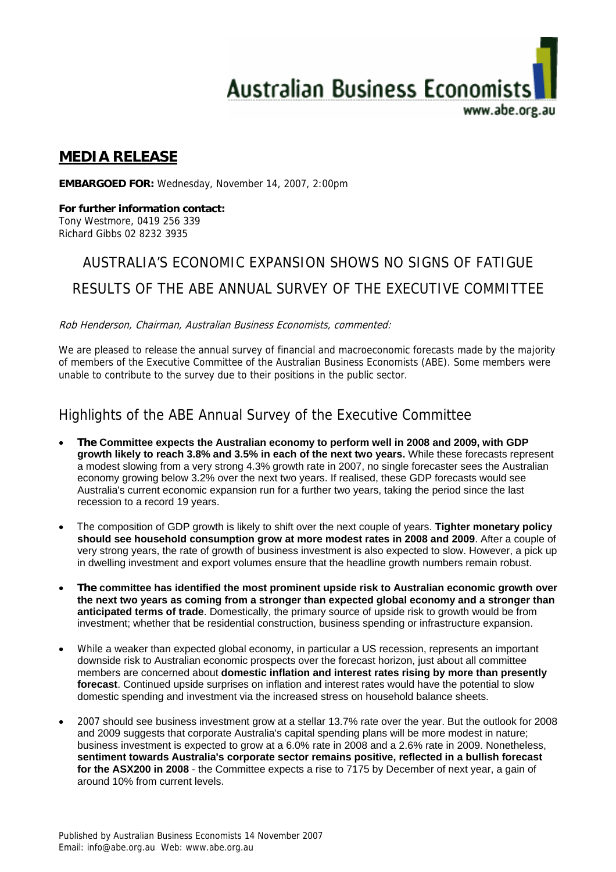

### **MEDIA RELEASE**

**EMBARGOED FOR:** Wednesday, November 14, 2007, 2:00pm

**For further information contact:**  Tony Westmore, 0419 256 339 Richard Gibbs 02 8232 3935

## AUSTRALIA'S ECONOMIC EXPANSION SHOWS NO SIGNS OF FATIGUE

#### RESULTS OF THE ABE ANNUAL SURVEY OF THE EXECUTIVE COMMITTEE

Rob Henderson, Chairman, Australian Business Economists, commented:

We are pleased to release the annual survey of financial and macroeconomic forecasts made by the majority of members of the Executive Committee of the Australian Business Economists (ABE). Some members were unable to contribute to the survey due to their positions in the public sector.

## Highlights of the ABE Annual Survey of the Executive Committee

- **The Committee expects the Australian economy to perform well in 2008 and 2009, with GDP growth likely to reach 3.8% and 3.5% in each of the next two years.** While these forecasts represent a modest slowing from a very strong 4.3% growth rate in 2007, no single forecaster sees the Australian economy growing below 3.2% over the next two years. If realised, these GDP forecasts would see Australia's current economic expansion run for a further two years, taking the period since the last recession to a record 19 years.
- The composition of GDP growth is likely to shift over the next couple of years. **Tighter monetary policy should see household consumption grow at more modest rates in 2008 and 2009**. After a couple of very strong years, the rate of growth of business investment is also expected to slow. However, a pick up in dwelling investment and export volumes ensure that the headline growth numbers remain robust.
- **The committee has identified the most prominent upside risk to Australian economic growth over the next two years as coming from a stronger than expected global economy and a stronger than anticipated terms of trade**. Domestically, the primary source of upside risk to growth would be from investment; whether that be residential construction, business spending or infrastructure expansion.
- While a weaker than expected global economy, in particular a US recession, represents an important downside risk to Australian economic prospects over the forecast horizon, just about all committee members are concerned about **domestic inflation and interest rates rising by more than presently forecast**. Continued upside surprises on inflation and interest rates would have the potential to slow domestic spending and investment via the increased stress on household balance sheets.
- 2007 should see business investment grow at a stellar 13.7% rate over the year. But the outlook for 2008 and 2009 suggests that corporate Australia's capital spending plans will be more modest in nature; business investment is expected to grow at a 6.0% rate in 2008 and a 2.6% rate in 2009. Nonetheless, **sentiment towards Australia's corporate sector remains positive, reflected in a bullish forecast for the ASX200 in 2008** - the Committee expects a rise to 7175 by December of next year, a gain of around 10% from current levels.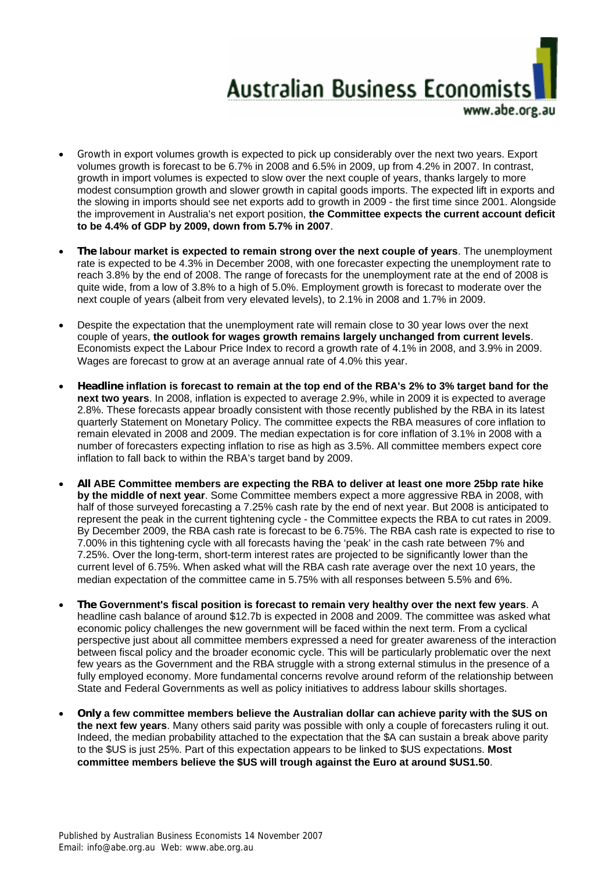

- Growth in export volumes growth is expected to pick up considerably over the next two years. Export volumes growth is forecast to be 6.7% in 2008 and 6.5% in 2009, up from 4.2% in 2007. In contrast, growth in import volumes is expected to slow over the next couple of years, thanks largely to more modest consumption growth and slower growth in capital goods imports. The expected lift in exports and the slowing in imports should see net exports add to growth in 2009 - the first time since 2001. Alongside the improvement in Australia's net export position, **the Committee expects the current account deficit to be 4.4% of GDP by 2009, down from 5.7% in 2007**.
- **The labour market is expected to remain strong over the next couple of years**. The unemployment rate is expected to be 4.3% in December 2008, with one forecaster expecting the unemployment rate to reach 3.8% by the end of 2008. The range of forecasts for the unemployment rate at the end of 2008 is quite wide, from a low of 3.8% to a high of 5.0%. Employment growth is forecast to moderate over the next couple of years (albeit from very elevated levels), to 2.1% in 2008 and 1.7% in 2009.
- Despite the expectation that the unemployment rate will remain close to 30 year lows over the next couple of years, **the outlook for wages growth remains largely unchanged from current levels**. Economists expect the Labour Price Index to record a growth rate of 4.1% in 2008, and 3.9% in 2009. Wages are forecast to grow at an average annual rate of 4.0% this year.
- **Headline inflation is forecast to remain at the top end of the RBA's 2% to 3% target band for the next two years**. In 2008, inflation is expected to average 2.9%, while in 2009 it is expected to average 2.8%. These forecasts appear broadly consistent with those recently published by the RBA in its latest quarterly Statement on Monetary Policy. The committee expects the RBA measures of core inflation to remain elevated in 2008 and 2009. The median expectation is for core inflation of 3.1% in 2008 with a number of forecasters expecting inflation to rise as high as 3.5%. All committee members expect core inflation to fall back to within the RBA's target band by 2009.
- **All ABE Committee members are expecting the RBA to deliver at least one more 25bp rate hike by the middle of next year**. Some Committee members expect a more aggressive RBA in 2008, with half of those surveyed forecasting a 7.25% cash rate by the end of next year. But 2008 is anticipated to represent the peak in the current tightening cycle - the Committee expects the RBA to cut rates in 2009. By December 2009, the RBA cash rate is forecast to be 6.75%. The RBA cash rate is expected to rise to 7.00% in this tightening cycle with all forecasts having the 'peak' in the cash rate between 7% and 7.25%. Over the long-term, short-term interest rates are projected to be significantly lower than the current level of 6.75%. When asked what will the RBA cash rate average over the next 10 years, the median expectation of the committee came in 5.75% with all responses between 5.5% and 6%.
- **The Government's fiscal position is forecast to remain very healthy over the next few years**. A headline cash balance of around \$12.7b is expected in 2008 and 2009. The committee was asked what economic policy challenges the new government will be faced within the next term. From a cyclical perspective just about all committee members expressed a need for greater awareness of the interaction between fiscal policy and the broader economic cycle. This will be particularly problematic over the next few years as the Government and the RBA struggle with a strong external stimulus in the presence of a fully employed economy. More fundamental concerns revolve around reform of the relationship between State and Federal Governments as well as policy initiatives to address labour skills shortages.
- **Only a few committee members believe the Australian dollar can achieve parity with the \$US on the next few years**. Many others said parity was possible with only a couple of forecasters ruling it out. Indeed, the median probability attached to the expectation that the \$A can sustain a break above parity to the \$US is just 25%. Part of this expectation appears to be linked to \$US expectations. **Most committee members believe the \$US will trough against the Euro at around \$US1.50**.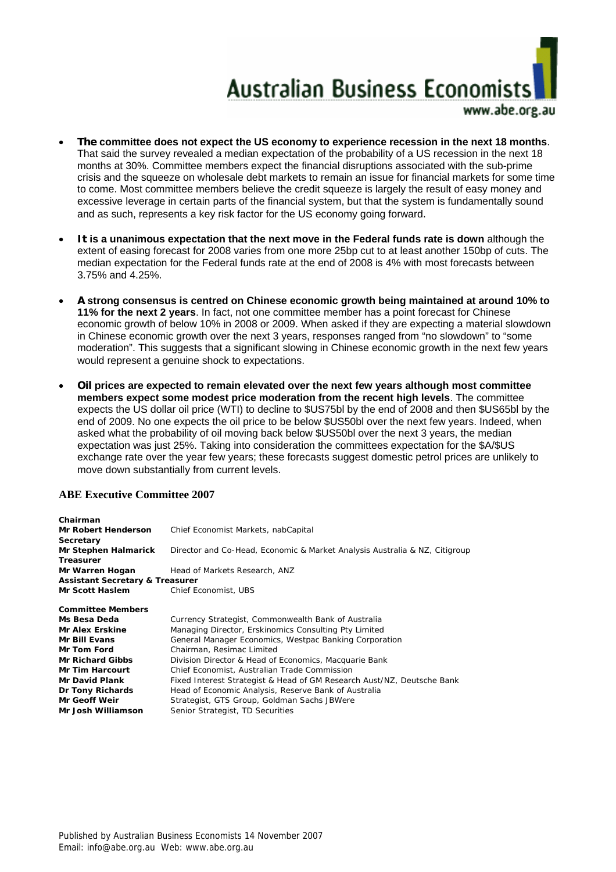# **Australian Business Economists** www.abe.ore.au

- **The committee does not expect the US economy to experience recession in the next 18 months**. That said the survey revealed a median expectation of the probability of a US recession in the next 18 months at 30%. Committee members expect the financial disruptions associated with the sub-prime crisis and the squeeze on wholesale debt markets to remain an issue for financial markets for some time to come. Most committee members believe the credit squeeze is largely the result of easy money and excessive leverage in certain parts of the financial system, but that the system is fundamentally sound
- **It is a unanimous expectation that the next move in the Federal funds rate is down** although the extent of easing forecast for 2008 varies from one more 25bp cut to at least another 150bp of cuts. The median expectation for the Federal funds rate at the end of 2008 is 4% with most forecasts between 3.75% and 4.25%.

and as such, represents a key risk factor for the US economy going forward.

- **A strong consensus is centred on Chinese economic growth being maintained at around 10% to 11% for the next 2 years**. In fact, not one committee member has a point forecast for Chinese economic growth of below 10% in 2008 or 2009. When asked if they are expecting a material slowdown in Chinese economic growth over the next 3 years, responses ranged from "no slowdown" to "some moderation". This suggests that a significant slowing in Chinese economic growth in the next few years would represent a genuine shock to expectations.
- **Oil prices are expected to remain elevated over the next few years although most committee members expect some modest price moderation from the recent high levels**. The committee expects the US dollar oil price (WTI) to decline to \$US75bl by the end of 2008 and then \$US65bl by the end of 2009. No one expects the oil price to be below \$US50bl over the next few years. Indeed, when asked what the probability of oil moving back below \$US50bl over the next 3 years, the median expectation was just 25%. Taking into consideration the committees expectation for the \$A/\$US exchange rate over the year few years; these forecasts suggest domestic petrol prices are unlikely to move down substantially from current levels.

#### **ABE Executive Committee 2007**

| Chairman                                   |                                                                            |  |  |  |  |  |  |
|--------------------------------------------|----------------------------------------------------------------------------|--|--|--|--|--|--|
| <b>Mr Robert Henderson</b>                 | Chief Economist Markets, nabCapital                                        |  |  |  |  |  |  |
| Secretary                                  |                                                                            |  |  |  |  |  |  |
| Mr Stephen Halmarick                       | Director and Co-Head, Economic & Market Analysis Australia & NZ, Citigroup |  |  |  |  |  |  |
| <b>Treasurer</b>                           |                                                                            |  |  |  |  |  |  |
| Mr Warren Hogan                            | Head of Markets Research, ANZ                                              |  |  |  |  |  |  |
| <b>Assistant Secretary &amp; Treasurer</b> |                                                                            |  |  |  |  |  |  |
| Mr Scott Haslem                            | Chief Economist, UBS                                                       |  |  |  |  |  |  |
|                                            |                                                                            |  |  |  |  |  |  |
| <b>Committee Members</b>                   |                                                                            |  |  |  |  |  |  |
| Ms Besa Deda                               | Currency Strategist, Commonwealth Bank of Australia                        |  |  |  |  |  |  |
| <b>Mr Alex Erskine</b>                     | Managing Director, Erskinomics Consulting Pty Limited                      |  |  |  |  |  |  |
| <b>Mr Bill Evans</b>                       | General Manager Economics, Westpac Banking Corporation                     |  |  |  |  |  |  |
| <b>Mr Tom Ford</b>                         | Chairman, Resimac Limited                                                  |  |  |  |  |  |  |
| <b>Mr Richard Gibbs</b>                    | Division Director & Head of Economics, Macquarie Bank                      |  |  |  |  |  |  |
| <b>Mr Tim Harcourt</b>                     | Chief Economist, Australian Trade Commission                               |  |  |  |  |  |  |
| <b>Mr David Plank</b>                      | Fixed Interest Strategist & Head of GM Research Aust/NZ, Deutsche Bank     |  |  |  |  |  |  |
| Dr Tony Richards                           | Head of Economic Analysis, Reserve Bank of Australia                       |  |  |  |  |  |  |
| <b>Mr Geoff Weir</b>                       | Strategist, GTS Group, Goldman Sachs JBWere                                |  |  |  |  |  |  |
| Mr Josh Williamson                         | Senior Strategist, TD Securities                                           |  |  |  |  |  |  |